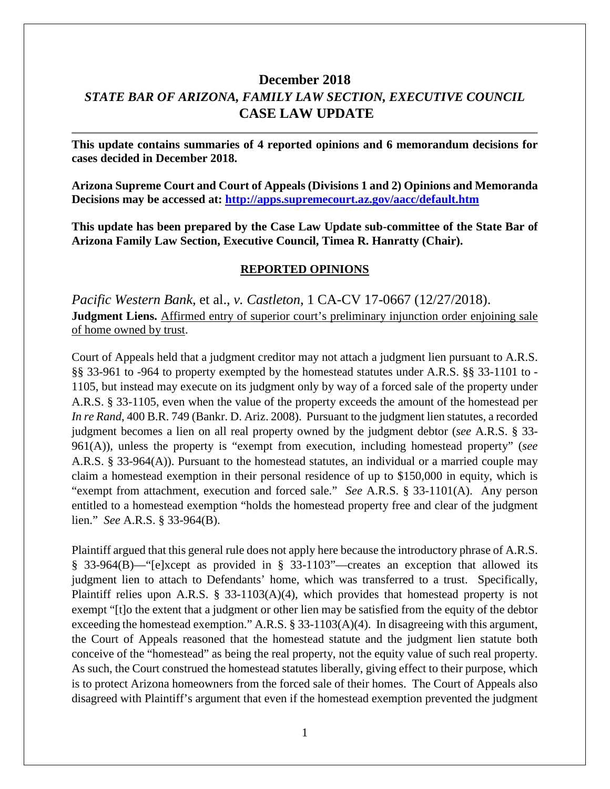# **December 2018** *STATE BAR OF ARIZONA, FAMILY LAW SECTION, EXECUTIVE COUNCIL* **CASE LAW UPDATE**

**This update contains summaries of 4 reported opinions and 6 memorandum decisions for cases decided in December 2018.**

**Arizona Supreme Court and Court of Appeals (Divisions 1 and 2) Opinions and Memoranda Decisions may be accessed at: <http://apps.supremecourt.az.gov/aacc/default.htm>**

**This update has been prepared by the Case Law Update sub-committee of the State Bar of Arizona Family Law Section, Executive Council, Timea R. Hanratty (Chair).**

#### **REPORTED OPINIONS**

*Pacific Western Bank,* et al., *v. Castleton*, 1 CA-CV 17-0667 (12/27/2018). **Judgment Liens.** Affirmed entry of superior court's preliminary injunction order enjoining sale of home owned by trust.

Court of Appeals held that a judgment creditor may not attach a judgment lien pursuant to A.R.S. §§ 33-961 to -964 to property exempted by the homestead statutes under A.R.S. §§ 33-1101 to - 1105, but instead may execute on its judgment only by way of a forced sale of the property under A.R.S. § 33-1105, even when the value of the property exceeds the amount of the homestead per *In re Rand*, 400 B.R. 749 (Bankr. D. Ariz. 2008). Pursuant to the judgment lien statutes, a recorded judgment becomes a lien on all real property owned by the judgment debtor (*see* A.R.S. § 33- 961(A)), unless the property is "exempt from execution, including homestead property" (*see*  A.R.S. § 33-964(A)). Pursuant to the homestead statutes, an individual or a married couple may claim a homestead exemption in their personal residence of up to \$150,000 in equity, which is "exempt from attachment, execution and forced sale." *See* A.R.S. § 33-1101(A). Any person entitled to a homestead exemption "holds the homestead property free and clear of the judgment lien." *See* A.R.S. § 33-964(B).

Plaintiff argued that this general rule does not apply here because the introductory phrase of A.R.S. § 33-964(B)—"[e]xcept as provided in § 33-1103"—creates an exception that allowed its judgment lien to attach to Defendants' home, which was transferred to a trust. Specifically, Plaintiff relies upon A.R.S. § 33-1103(A)(4), which provides that homestead property is not exempt "[t]o the extent that a judgment or other lien may be satisfied from the equity of the debtor exceeding the homestead exemption." A.R.S. § 33-1103(A)(4). In disagreeing with this argument, the Court of Appeals reasoned that the homestead statute and the judgment lien statute both conceive of the "homestead" as being the real property, not the equity value of such real property. As such, the Court construed the homestead statutes liberally, giving effect to their purpose, which is to protect Arizona homeowners from the forced sale of their homes. The Court of Appeals also disagreed with Plaintiff's argument that even if the homestead exemption prevented the judgment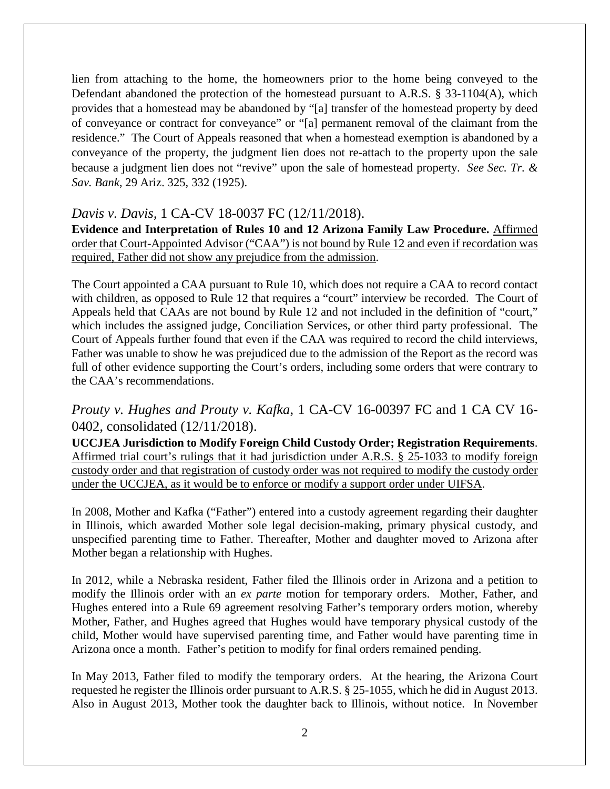lien from attaching to the home, the homeowners prior to the home being conveyed to the Defendant abandoned the protection of the homestead pursuant to A.R.S. § 33-1104(A), which provides that a homestead may be abandoned by "[a] transfer of the homestead property by deed of conveyance or contract for conveyance" or "[a] permanent removal of the claimant from the residence." The Court of Appeals reasoned that when a homestead exemption is abandoned by a conveyance of the property, the judgment lien does not re-attach to the property upon the sale because a judgment lien does not "revive" upon the sale of homestead property. *See Sec. Tr. & Sav. Bank*, 29 Ariz. 325, 332 (1925).

### *Davis v. Davis*, 1 CA-CV 18-0037 FC (12/11/2018).

**Evidence and Interpretation of Rules 10 and 12 Arizona Family Law Procedure.** Affirmed order that Court-Appointed Advisor ("CAA") is not bound by Rule 12 and even if recordation was required, Father did not show any prejudice from the admission.

The Court appointed a CAA pursuant to Rule 10, which does not require a CAA to record contact with children, as opposed to Rule 12 that requires a "court" interview be recorded. The Court of Appeals held that CAAs are not bound by Rule 12 and not included in the definition of "court," which includes the assigned judge, Conciliation Services, or other third party professional. The Court of Appeals further found that even if the CAA was required to record the child interviews, Father was unable to show he was prejudiced due to the admission of the Report as the record was full of other evidence supporting the Court's orders, including some orders that were contrary to the CAA's recommendations.

# *Prouty v. Hughes and Prouty v. Kafka*, 1 CA-CV 16-00397 FC and 1 CA CV 16- 0402, consolidated (12/11/2018).

**UCCJEA Jurisdiction to Modify Foreign Child Custody Order; Registration Requirements**. Affirmed trial court's rulings that it had jurisdiction under A.R.S. § 25-1033 to modify foreign custody order and that registration of custody order was not required to modify the custody order under the UCCJEA, as it would be to enforce or modify a support order under UIFSA.

In 2008, Mother and Kafka ("Father") entered into a custody agreement regarding their daughter in Illinois, which awarded Mother sole legal decision-making, primary physical custody, and unspecified parenting time to Father. Thereafter, Mother and daughter moved to Arizona after Mother began a relationship with Hughes.

In 2012, while a Nebraska resident, Father filed the Illinois order in Arizona and a petition to modify the Illinois order with an *ex parte* motion for temporary orders. Mother, Father, and Hughes entered into a Rule 69 agreement resolving Father's temporary orders motion, whereby Mother, Father, and Hughes agreed that Hughes would have temporary physical custody of the child, Mother would have supervised parenting time, and Father would have parenting time in Arizona once a month. Father's petition to modify for final orders remained pending.

In May 2013, Father filed to modify the temporary orders. At the hearing, the Arizona Court requested he register the Illinois order pursuant to A.R.S. § 25-1055, which he did in August 2013. Also in August 2013, Mother took the daughter back to Illinois, without notice. In November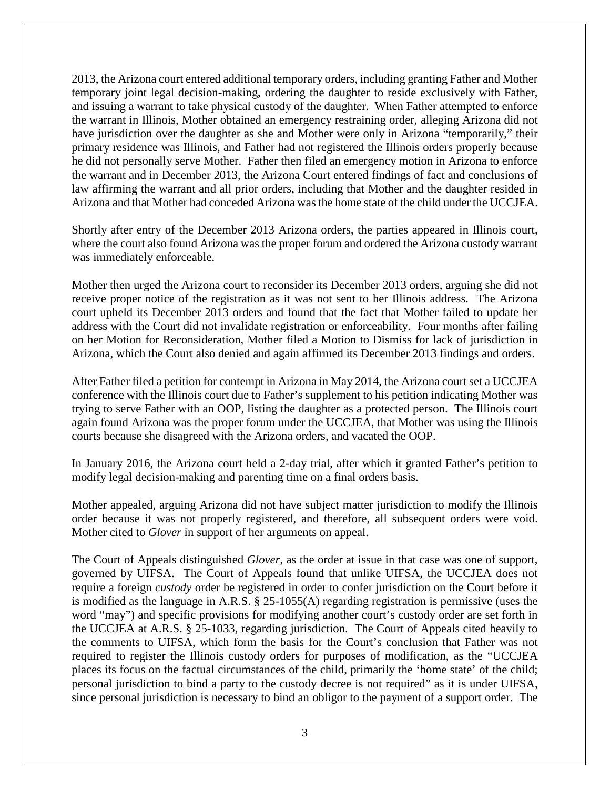2013, the Arizona court entered additional temporary orders, including granting Father and Mother temporary joint legal decision-making, ordering the daughter to reside exclusively with Father, and issuing a warrant to take physical custody of the daughter. When Father attempted to enforce the warrant in Illinois, Mother obtained an emergency restraining order, alleging Arizona did not have jurisdiction over the daughter as she and Mother were only in Arizona "temporarily," their primary residence was Illinois, and Father had not registered the Illinois orders properly because he did not personally serve Mother. Father then filed an emergency motion in Arizona to enforce the warrant and in December 2013, the Arizona Court entered findings of fact and conclusions of law affirming the warrant and all prior orders, including that Mother and the daughter resided in Arizona and that Mother had conceded Arizona was the home state of the child under the UCCJEA.

Shortly after entry of the December 2013 Arizona orders, the parties appeared in Illinois court, where the court also found Arizona was the proper forum and ordered the Arizona custody warrant was immediately enforceable.

Mother then urged the Arizona court to reconsider its December 2013 orders, arguing she did not receive proper notice of the registration as it was not sent to her Illinois address. The Arizona court upheld its December 2013 orders and found that the fact that Mother failed to update her address with the Court did not invalidate registration or enforceability. Four months after failing on her Motion for Reconsideration, Mother filed a Motion to Dismiss for lack of jurisdiction in Arizona, which the Court also denied and again affirmed its December 2013 findings and orders.

After Father filed a petition for contempt in Arizona in May 2014, the Arizona court set a UCCJEA conference with the Illinois court due to Father's supplement to his petition indicating Mother was trying to serve Father with an OOP, listing the daughter as a protected person. The Illinois court again found Arizona was the proper forum under the UCCJEA, that Mother was using the Illinois courts because she disagreed with the Arizona orders, and vacated the OOP.

In January 2016, the Arizona court held a 2-day trial, after which it granted Father's petition to modify legal decision-making and parenting time on a final orders basis.

Mother appealed, arguing Arizona did not have subject matter jurisdiction to modify the Illinois order because it was not properly registered, and therefore, all subsequent orders were void. Mother cited to *Glover* in support of her arguments on appeal.

The Court of Appeals distinguished *Glover*, as the order at issue in that case was one of support, governed by UIFSA. The Court of Appeals found that unlike UIFSA, the UCCJEA does not require a foreign *custody* order be registered in order to confer jurisdiction on the Court before it is modified as the language in A.R.S. § 25-1055(A) regarding registration is permissive (uses the word "may") and specific provisions for modifying another court's custody order are set forth in the UCCJEA at A.R.S. § 25-1033, regarding jurisdiction. The Court of Appeals cited heavily to the comments to UIFSA, which form the basis for the Court's conclusion that Father was not required to register the Illinois custody orders for purposes of modification, as the "UCCJEA places its focus on the factual circumstances of the child, primarily the 'home state' of the child; personal jurisdiction to bind a party to the custody decree is not required" as it is under UIFSA, since personal jurisdiction is necessary to bind an obligor to the payment of a support order. The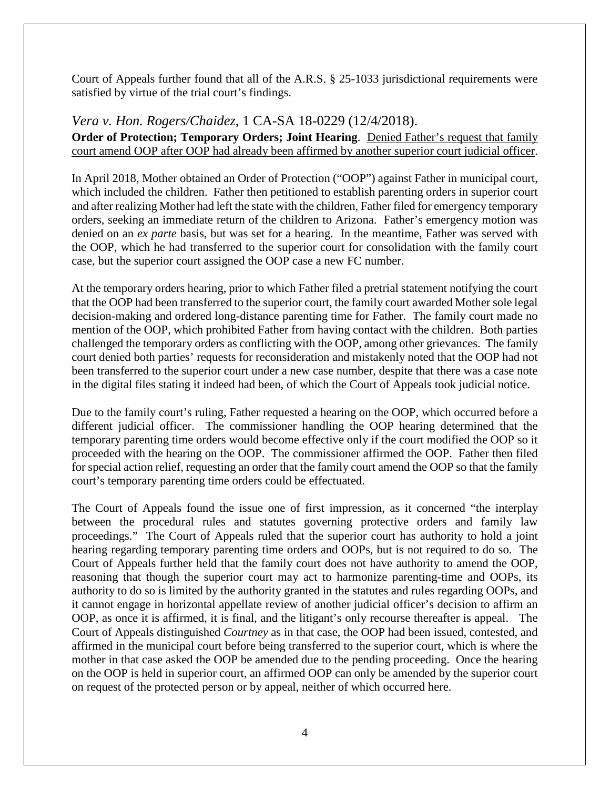Court of Appeals further found that all of the A.R.S. § 25-1033 jurisdictional requirements were satisfied by virtue of the trial court's findings.

*Vera v. Hon. Rogers/Chaidez*, 1 CA-SA 18-0229 (12/4/2018).

**Order of Protection; Temporary Orders; Joint Hearing**. Denied Father's request that family court amend OOP after OOP had already been affirmed by another superior court judicial officer.

In April 2018, Mother obtained an Order of Protection ("OOP") against Father in municipal court, which included the children. Father then petitioned to establish parenting orders in superior court and after realizing Mother had left the state with the children, Father filed for emergency temporary orders, seeking an immediate return of the children to Arizona. Father's emergency motion was denied on an *ex parte* basis, but was set for a hearing. In the meantime, Father was served with the OOP, which he had transferred to the superior court for consolidation with the family court case, but the superior court assigned the OOP case a new FC number.

At the temporary orders hearing, prior to which Father filed a pretrial statement notifying the court that the OOP had been transferred to the superior court, the family court awarded Mother sole legal decision-making and ordered long-distance parenting time for Father. The family court made no mention of the OOP, which prohibited Father from having contact with the children. Both parties challenged the temporary orders as conflicting with the OOP, among other grievances. The family court denied both parties' requests for reconsideration and mistakenly noted that the OOP had not been transferred to the superior court under a new case number, despite that there was a case note in the digital files stating it indeed had been, of which the Court of Appeals took judicial notice.

Due to the family court's ruling, Father requested a hearing on the OOP, which occurred before a different judicial officer. The commissioner handling the OOP hearing determined that the temporary parenting time orders would become effective only if the court modified the OOP so it proceeded with the hearing on the OOP. The commissioner affirmed the OOP. Father then filed for special action relief, requesting an order that the family court amend the OOP so that the family court's temporary parenting time orders could be effectuated.

The Court of Appeals found the issue one of first impression, as it concerned "the interplay between the procedural rules and statutes governing protective orders and family law proceedings." The Court of Appeals ruled that the superior court has authority to hold a joint hearing regarding temporary parenting time orders and OOPs, but is not required to do so. The Court of Appeals further held that the family court does not have authority to amend the OOP, reasoning that though the superior court may act to harmonize parenting-time and OOPs, its authority to do so is limited by the authority granted in the statutes and rules regarding OOPs, and it cannot engage in horizontal appellate review of another judicial officer's decision to affirm an OOP, as once it is affirmed, it is final, and the litigant's only recourse thereafter is appeal. The Court of Appeals distinguished *Courtney* as in that case, the OOP had been issued, contested, and affirmed in the municipal court before being transferred to the superior court, which is where the mother in that case asked the OOP be amended due to the pending proceeding. Once the hearing on the OOP is held in superior court, an affirmed OOP can only be amended by the superior court on request of the protected person or by appeal, neither of which occurred here.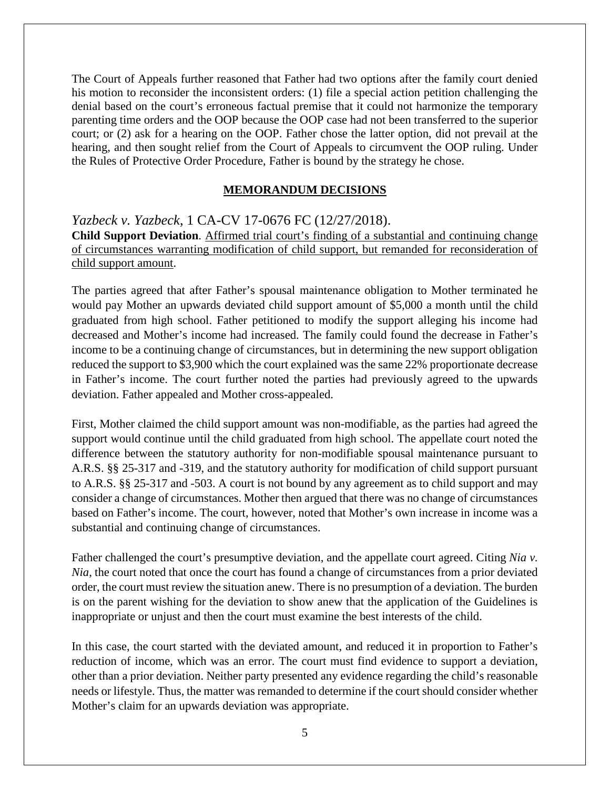The Court of Appeals further reasoned that Father had two options after the family court denied his motion to reconsider the inconsistent orders: (1) file a special action petition challenging the denial based on the court's erroneous factual premise that it could not harmonize the temporary parenting time orders and the OOP because the OOP case had not been transferred to the superior court; or (2) ask for a hearing on the OOP. Father chose the latter option, did not prevail at the hearing, and then sought relief from the Court of Appeals to circumvent the OOP ruling. Under the Rules of Protective Order Procedure, Father is bound by the strategy he chose.

#### **MEMORANDUM DECISIONS**

*Yazbeck v. Yazbeck*, 1 CA-CV 17-0676 FC (12/27/2018). **Child Support Deviation**. Affirmed trial court's finding of a substantial and continuing change of circumstances warranting modification of child support, but remanded for reconsideration of child support amount.

The parties agreed that after Father's spousal maintenance obligation to Mother terminated he would pay Mother an upwards deviated child support amount of \$5,000 a month until the child graduated from high school. Father petitioned to modify the support alleging his income had decreased and Mother's income had increased. The family could found the decrease in Father's income to be a continuing change of circumstances, but in determining the new support obligation reduced the support to \$3,900 which the court explained was the same 22% proportionate decrease in Father's income. The court further noted the parties had previously agreed to the upwards deviation. Father appealed and Mother cross-appealed.

First, Mother claimed the child support amount was non-modifiable, as the parties had agreed the support would continue until the child graduated from high school. The appellate court noted the difference between the statutory authority for non-modifiable spousal maintenance pursuant to A.R.S. §§ 25-317 and -319, and the statutory authority for modification of child support pursuant to A.R.S. §§ 25-317 and -503. A court is not bound by any agreement as to child support and may consider a change of circumstances. Mother then argued that there was no change of circumstances based on Father's income. The court, however, noted that Mother's own increase in income was a substantial and continuing change of circumstances.

Father challenged the court's presumptive deviation, and the appellate court agreed. Citing *Nia v. Nia*, the court noted that once the court has found a change of circumstances from a prior deviated order, the court must review the situation anew. There is no presumption of a deviation. The burden is on the parent wishing for the deviation to show anew that the application of the Guidelines is inappropriate or unjust and then the court must examine the best interests of the child.

In this case, the court started with the deviated amount, and reduced it in proportion to Father's reduction of income, which was an error. The court must find evidence to support a deviation, other than a prior deviation. Neither party presented any evidence regarding the child's reasonable needs or lifestyle. Thus, the matter was remanded to determine if the court should consider whether Mother's claim for an upwards deviation was appropriate.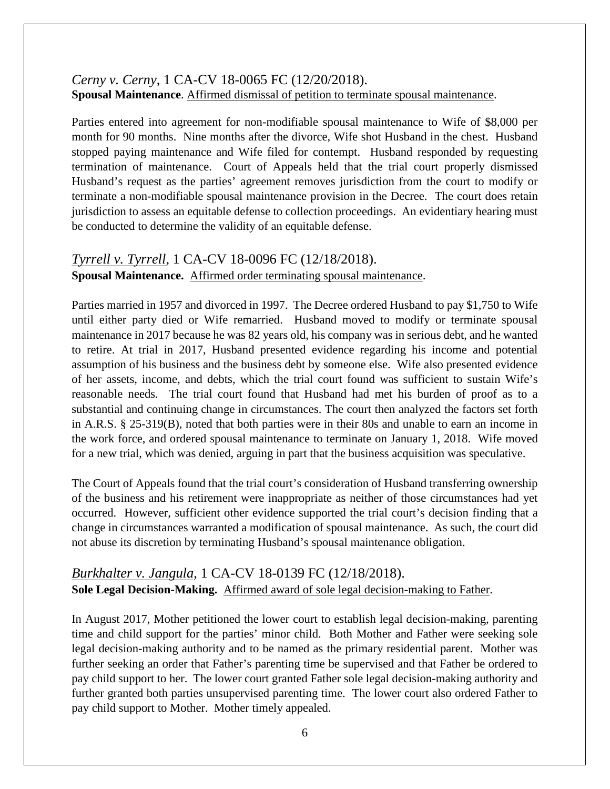### *Cerny v. Cerny*, 1 CA-CV 18-0065 FC (12/20/2018). **Spousal Maintenance**. Affirmed dismissal of petition to terminate spousal maintenance.

Parties entered into agreement for non-modifiable spousal maintenance to Wife of \$8,000 per month for 90 months. Nine months after the divorce, Wife shot Husband in the chest. Husband stopped paying maintenance and Wife filed for contempt. Husband responded by requesting termination of maintenance. Court of Appeals held that the trial court properly dismissed Husband's request as the parties' agreement removes jurisdiction from the court to modify or terminate a non-modifiable spousal maintenance provision in the Decree. The court does retain jurisdiction to assess an equitable defense to collection proceedings. An evidentiary hearing must be conducted to determine the validity of an equitable defense.

# *Tyrrell v. Tyrrell*, 1 CA-CV 18-0096 FC (12/18/2018). **Spousal Maintenance.** Affirmed order terminating spousal maintenance.

Parties married in 1957 and divorced in 1997. The Decree ordered Husband to pay \$1,750 to Wife until either party died or Wife remarried. Husband moved to modify or terminate spousal maintenance in 2017 because he was 82 years old, his company was in serious debt, and he wanted to retire. At trial in 2017, Husband presented evidence regarding his income and potential assumption of his business and the business debt by someone else. Wife also presented evidence of her assets, income, and debts, which the trial court found was sufficient to sustain Wife's reasonable needs. The trial court found that Husband had met his burden of proof as to a substantial and continuing change in circumstances. The court then analyzed the factors set forth in A.R.S. § 25-319(B), noted that both parties were in their 80s and unable to earn an income in the work force, and ordered spousal maintenance to terminate on January 1, 2018. Wife moved for a new trial, which was denied, arguing in part that the business acquisition was speculative.

The Court of Appeals found that the trial court's consideration of Husband transferring ownership of the business and his retirement were inappropriate as neither of those circumstances had yet occurred. However, sufficient other evidence supported the trial court's decision finding that a change in circumstances warranted a modification of spousal maintenance. As such, the court did not abuse its discretion by terminating Husband's spousal maintenance obligation.

### *Burkhalter v. Jangula*, 1 CA-CV 18-0139 FC (12/18/2018). **Sole Legal Decision-Making.** Affirmed award of sole legal decision-making to Father.

In August 2017, Mother petitioned the lower court to establish legal decision-making, parenting time and child support for the parties' minor child. Both Mother and Father were seeking sole legal decision-making authority and to be named as the primary residential parent. Mother was further seeking an order that Father's parenting time be supervised and that Father be ordered to pay child support to her. The lower court granted Father sole legal decision-making authority and further granted both parties unsupervised parenting time. The lower court also ordered Father to pay child support to Mother. Mother timely appealed.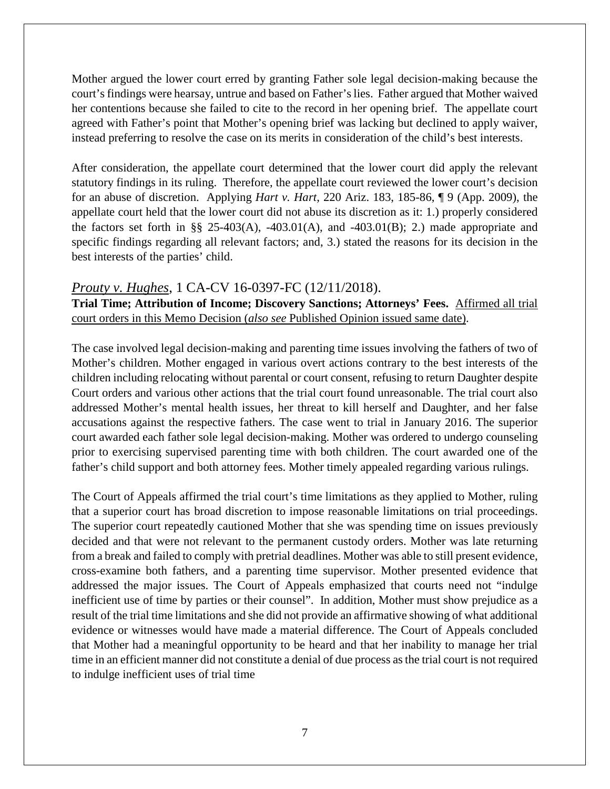Mother argued the lower court erred by granting Father sole legal decision-making because the court's findings were hearsay, untrue and based on Father's lies. Father argued that Mother waived her contentions because she failed to cite to the record in her opening brief. The appellate court agreed with Father's point that Mother's opening brief was lacking but declined to apply waiver, instead preferring to resolve the case on its merits in consideration of the child's best interests.

After consideration, the appellate court determined that the lower court did apply the relevant statutory findings in its ruling. Therefore, the appellate court reviewed the lower court's decision for an abuse of discretion. Applying *Hart v. Hart*, 220 Ariz. 183, 185-86, ¶ 9 (App. 2009), the appellate court held that the lower court did not abuse its discretion as it: 1.) properly considered the factors set forth in §§ 25-403(A), -403.01(A), and -403.01(B); 2.) made appropriate and specific findings regarding all relevant factors; and, 3.) stated the reasons for its decision in the best interests of the parties' child.

#### *Prouty v. Hughes*, 1 CA-CV 16-0397-FC (12/11/2018).

**Trial Time; Attribution of Income; Discovery Sanctions; Attorneys' Fees.** Affirmed all trial court orders in this Memo Decision (*also see* Published Opinion issued same date).

The case involved legal decision-making and parenting time issues involving the fathers of two of Mother's children. Mother engaged in various overt actions contrary to the best interests of the children including relocating without parental or court consent, refusing to return Daughter despite Court orders and various other actions that the trial court found unreasonable. The trial court also addressed Mother's mental health issues, her threat to kill herself and Daughter, and her false accusations against the respective fathers. The case went to trial in January 2016. The superior court awarded each father sole legal decision-making. Mother was ordered to undergo counseling prior to exercising supervised parenting time with both children. The court awarded one of the father's child support and both attorney fees. Mother timely appealed regarding various rulings.

The Court of Appeals affirmed the trial court's time limitations as they applied to Mother, ruling that a superior court has broad discretion to impose reasonable limitations on trial proceedings. The superior court repeatedly cautioned Mother that she was spending time on issues previously decided and that were not relevant to the permanent custody orders. Mother was late returning from a break and failed to comply with pretrial deadlines. Mother was able to still present evidence, cross-examine both fathers, and a parenting time supervisor. Mother presented evidence that addressed the major issues. The Court of Appeals emphasized that courts need not "indulge inefficient use of time by parties or their counsel". In addition, Mother must show prejudice as a result of the trial time limitations and she did not provide an affirmative showing of what additional evidence or witnesses would have made a material difference. The Court of Appeals concluded that Mother had a meaningful opportunity to be heard and that her inability to manage her trial time in an efficient manner did not constitute a denial of due process as the trial court is not required to indulge inefficient uses of trial time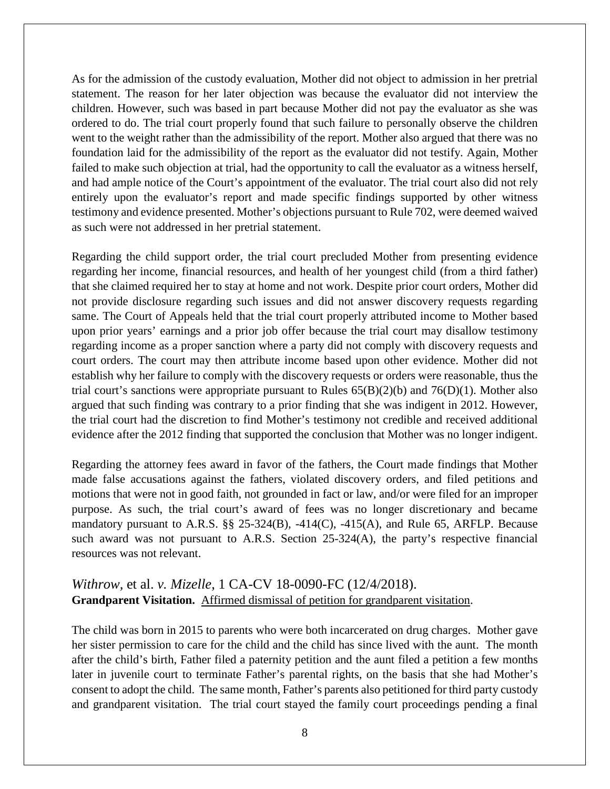As for the admission of the custody evaluation, Mother did not object to admission in her pretrial statement. The reason for her later objection was because the evaluator did not interview the children. However, such was based in part because Mother did not pay the evaluator as she was ordered to do. The trial court properly found that such failure to personally observe the children went to the weight rather than the admissibility of the report. Mother also argued that there was no foundation laid for the admissibility of the report as the evaluator did not testify. Again, Mother failed to make such objection at trial, had the opportunity to call the evaluator as a witness herself, and had ample notice of the Court's appointment of the evaluator. The trial court also did not rely entirely upon the evaluator's report and made specific findings supported by other witness testimony and evidence presented. Mother's objections pursuant to Rule 702, were deemed waived as such were not addressed in her pretrial statement.

Regarding the child support order, the trial court precluded Mother from presenting evidence regarding her income, financial resources, and health of her youngest child (from a third father) that she claimed required her to stay at home and not work. Despite prior court orders, Mother did not provide disclosure regarding such issues and did not answer discovery requests regarding same. The Court of Appeals held that the trial court properly attributed income to Mother based upon prior years' earnings and a prior job offer because the trial court may disallow testimony regarding income as a proper sanction where a party did not comply with discovery requests and court orders. The court may then attribute income based upon other evidence. Mother did not establish why her failure to comply with the discovery requests or orders were reasonable, thus the trial court's sanctions were appropriate pursuant to Rules  $65(B)(2)(b)$  and  $76(D)(1)$ . Mother also argued that such finding was contrary to a prior finding that she was indigent in 2012. However, the trial court had the discretion to find Mother's testimony not credible and received additional evidence after the 2012 finding that supported the conclusion that Mother was no longer indigent.

Regarding the attorney fees award in favor of the fathers, the Court made findings that Mother made false accusations against the fathers, violated discovery orders, and filed petitions and motions that were not in good faith, not grounded in fact or law, and/or were filed for an improper purpose. As such, the trial court's award of fees was no longer discretionary and became mandatory pursuant to A.R.S. §§ 25-324(B), -414(C), -415(A), and Rule 65, ARFLP. Because such award was not pursuant to A.R.S. Section 25-324(A), the party's respective financial resources was not relevant.

### *Withrow,* et al. *v. Mizelle*, 1 CA-CV 18-0090-FC (12/4/2018). **Grandparent Visitation.** Affirmed dismissal of petition for grandparent visitation.

The child was born in 2015 to parents who were both incarcerated on drug charges. Mother gave her sister permission to care for the child and the child has since lived with the aunt. The month after the child's birth, Father filed a paternity petition and the aunt filed a petition a few months later in juvenile court to terminate Father's parental rights, on the basis that she had Mother's consent to adopt the child. The same month, Father's parents also petitioned for third party custody and grandparent visitation. The trial court stayed the family court proceedings pending a final